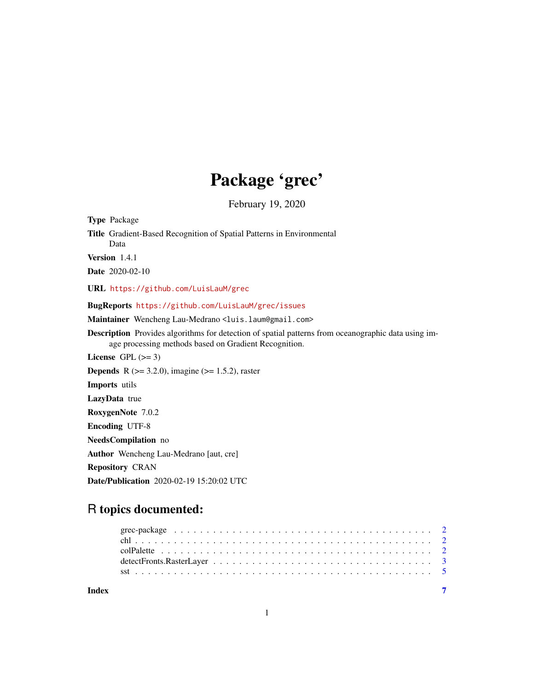## Package 'grec'

February 19, 2020

Type Package Title Gradient-Based Recognition of Spatial Patterns in Environmental Data Version 1.4.1 Date 2020-02-10 URL <https://github.com/LuisLauM/grec> BugReports <https://github.com/LuisLauM/grec/issues> Maintainer Wencheng Lau-Medrano <luis.laum@gmail.com> Description Provides algorithms for detection of spatial patterns from oceanographic data using image processing methods based on Gradient Recognition. License GPL  $(>= 3)$ **Depends** R ( $>= 3.2.0$ ), imagine ( $>= 1.5.2$ ), raster Imports utils LazyData true RoxygenNote 7.0.2 Encoding UTF-8 NeedsCompilation no Author Wencheng Lau-Medrano [aut, cre] Repository CRAN Date/Publication 2020-02-19 15:20:02 UTC

### R topics documented:

| Index |  |  |  |  |  |  |  |  |  |  |  |  |  |  |  |
|-------|--|--|--|--|--|--|--|--|--|--|--|--|--|--|--|
|       |  |  |  |  |  |  |  |  |  |  |  |  |  |  |  |
|       |  |  |  |  |  |  |  |  |  |  |  |  |  |  |  |
|       |  |  |  |  |  |  |  |  |  |  |  |  |  |  |  |
|       |  |  |  |  |  |  |  |  |  |  |  |  |  |  |  |
|       |  |  |  |  |  |  |  |  |  |  |  |  |  |  |  |

1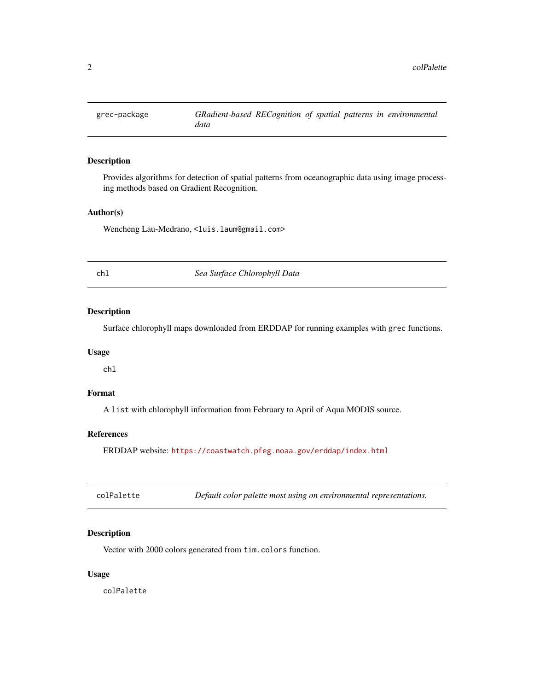<span id="page-1-0"></span>

#### Description

Provides algorithms for detection of spatial patterns from oceanographic data using image processing methods based on Gradient Recognition.

#### Author(s)

Wencheng Lau-Medrano, <luis.laum@gmail.com>

chl *Sea Surface Chlorophyll Data*

#### Description

Surface chlorophyll maps downloaded from ERDDAP for running examples with grec functions.

#### Usage

chl

#### Format

A list with chlorophyll information from February to April of Aqua MODIS source.

#### References

ERDDAP website: <https://coastwatch.pfeg.noaa.gov/erddap/index.html>

| Default color palette most using on environmental representations.<br>colPalette |  |
|----------------------------------------------------------------------------------|--|
|----------------------------------------------------------------------------------|--|

#### Description

Vector with 2000 colors generated from tim.colors function.

#### Usage

colPalette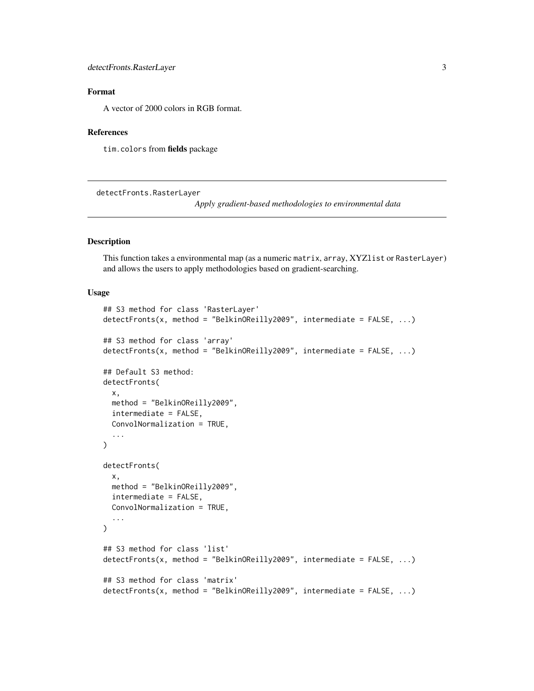#### <span id="page-2-0"></span>Format

A vector of 2000 colors in RGB format.

#### **References**

tim.colors from fields package

detectFronts.RasterLayer

*Apply gradient-based methodologies to environmental data*

#### Description

This function takes a environmental map (as a numeric matrix, array, XYZlist or RasterLayer) and allows the users to apply methodologies based on gradient-searching.

#### Usage

```
## S3 method for class 'RasterLayer'
detectFronts(x, method = "BelkinOReilly2009", intermediate = FALSE, ...)
## S3 method for class 'array'
detectFronts(x, method = "BelkinOReilly2009", intermediate = FALSE, ...)## Default S3 method:
detectFronts(
 x,
 method = "BelkinOReilly2009",
 intermediate = FALSE,
 ConvolNormalization = TRUE,
  ...
\mathcal{L}detectFronts(
 x,
 method = "BelkinOReilly2009",
  intermediate = FALSE,
 ConvolNormalization = TRUE,
  ...
\lambda## S3 method for class 'list'
detectFronts(x, method = "BelkinOReilly2009", intermediate = FALSE, \ldots)
## S3 method for class 'matrix'
detectFronts(x, method = "BelkinOReilly2009", intermediate = FALSE, ...)
```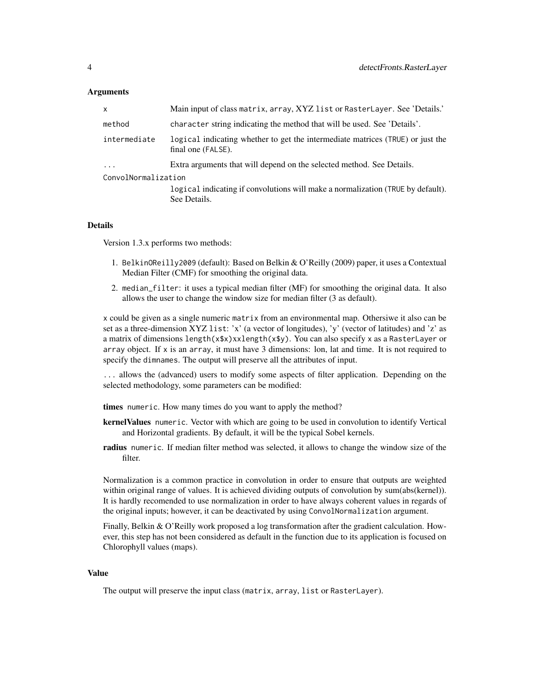#### Arguments

| $\mathsf{x}$        | Main input of class matrix, array, XYZ list or RasterLayer. See 'Details.'                           |
|---------------------|------------------------------------------------------------------------------------------------------|
| method              | character string indicating the method that will be used. See 'Details'.                             |
| intermediate        | logical indicating whether to get the intermediate matrices (TRUE) or just the<br>final one (FALSE). |
| $\cdots$            | Extra arguments that will depend on the selected method. See Details.                                |
| ConvolNormalization |                                                                                                      |
|                     | logical indicating if convolutions will make a normalization (TRUE by default).                      |
|                     | See Details.                                                                                         |

#### Details

Version 1.3.x performs two methods:

- 1. BelkinOReilly2009 (default): Based on Belkin & O'Reilly (2009) paper, it uses a Contextual Median Filter (CMF) for smoothing the original data.
- 2. median\_filter: it uses a typical median filter (MF) for smoothing the original data. It also allows the user to change the window size for median filter (3 as default).

x could be given as a single numeric matrix from an environmental map. Othersiwe it also can be set as a three-dimension XYZ list: 'x' (a vector of longitudes), 'y' (vector of latitudes) and 'z' as a matrix of dimensions length(x\$x)xxlength(x\$y). You can also specify x as a RasterLayer or array object. If  $x$  is an array, it must have 3 dimensions: lon, lat and time. It is not required to specify the dimnames. The output will preserve all the attributes of input.

... allows the (advanced) users to modify some aspects of filter application. Depending on the selected methodology, some parameters can be modified:

times numeric. How many times do you want to apply the method?

- kernelValues numeric. Vector with which are going to be used in convolution to identify Vertical and Horizontal gradients. By default, it will be the typical Sobel kernels.
- radius numeric. If median filter method was selected, it allows to change the window size of the filter.

Normalization is a common practice in convolution in order to ensure that outputs are weighted within original range of values. It is achieved dividing outputs of convolution by sum(abs(kernel)). It is hardly recomended to use normalization in order to have always coherent values in regards of the original inputs; however, it can be deactivated by using ConvolNormalization argument.

Finally, Belkin & O'Reilly work proposed a log transformation after the gradient calculation. However, this step has not been considered as default in the function due to its application is focused on Chlorophyll values (maps).

#### Value

The output will preserve the input class (matrix, array, list or RasterLayer).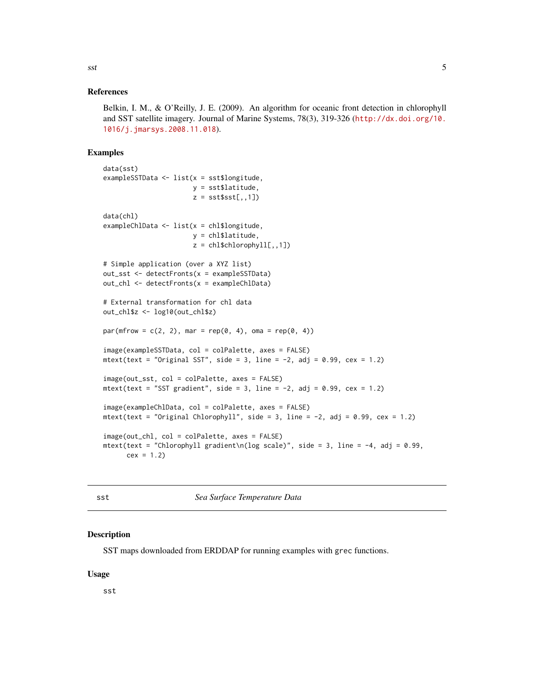#### <span id="page-4-0"></span>References

Belkin, I. M., & O'Reilly, J. E. (2009). An algorithm for oceanic front detection in chlorophyll and SST satellite imagery. Journal of Marine Systems, 78(3), 319-326 ([http://dx.doi.org/10.](http://dx.doi.org/10.1016/j.jmarsys.2008.11.018) [1016/j.jmarsys.2008.11.018](http://dx.doi.org/10.1016/j.jmarsys.2008.11.018)).

#### Examples

```
data(sst)
exampleSSTData <- list(x = sst$longitude,
                       y = sst$latitude,
                       z = \text{sst}\sst[, 1]data(chl)
exampleChlData <- list(x = chl$longitude,
                       y = chl$latitude,
                       z = \text{chl$schlorophyll[,}, 1]# Simple application (over a XYZ list)
out_sst <- detectFronts(x = exampleSSTData)
out_chl <- detectFronts(x = exampleChlData)
# External transformation for chl data
out_chl$z <- log10(out_chl$z)
par(mfrow = c(2, 2), mar = rep(0, 4), oma = rep(0, 4))image(exampleSSTData, col = colPalette, axes = FALSE)
mtext(text = "Original SST", side = 3, line = -2, adj = 0.99, cex = 1.2)
image(out_sst, col = colPalette, axes = FALSE)
mtext(text = "SST gradient", side = 3, line = -2, adj = 0.99, cex = 1.2)
image(exampleChlData, col = colPalette, axes = FALSE)
mtext(text = "Original Chlorophyll", side = 3, line = -2, adj = 0.99, cex = 1.2)
image(out_chl, col = colPalette, axes = FALSE)
mtext(text = "Chlorophyll gradient\n|(log scale)", side = 3, line = -4, adj = 0.99,
      cex = 1.2
```
sst *Sea Surface Temperature Data*

#### Description

SST maps downloaded from ERDDAP for running examples with grec functions.

#### Usage

sst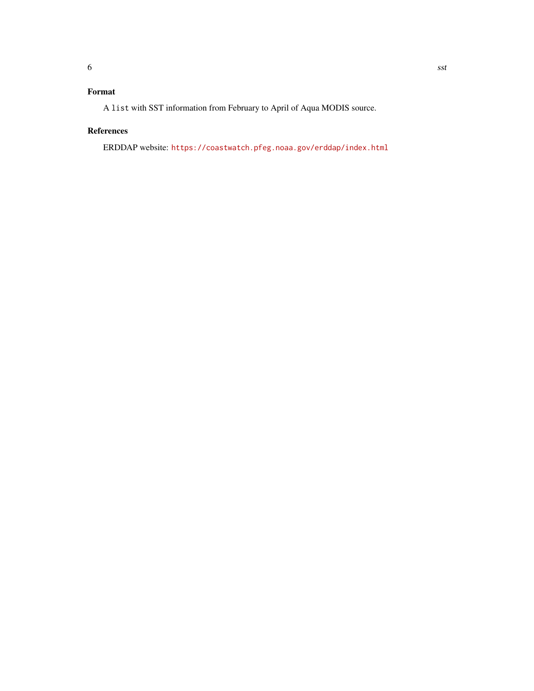#### Format

A list with SST information from February to April of Aqua MODIS source.

#### References

ERDDAP website: <https://coastwatch.pfeg.noaa.gov/erddap/index.html>